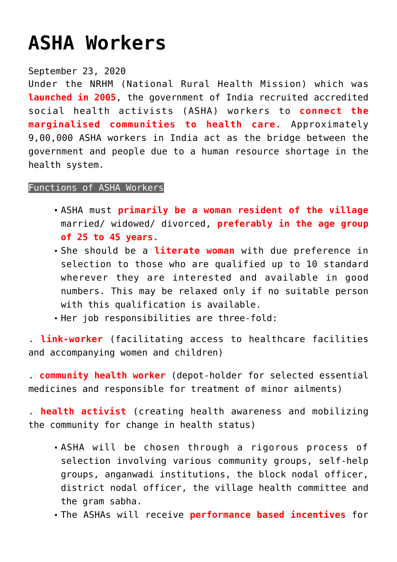## **[ASHA Workers](https://journalsofindia.com/asha-workers/)**

## September 23, 2020

Under the NRHM (National Rural Health Mission) which was **launched in 2005**, the government of India recruited accredited social health activists (ASHA) workers to **connect the marginalised communities to health care.** Approximately 9,00,000 ASHA workers in India act as the bridge between the government and people due to a human resource shortage in the health system.

## Functions of ASHA Workers

- ASHA must **primarily be a woman resident of the village** married/ widowed/ divorced, **preferably in the age group of 25 to 45 years.**
- She should be a **literate woman** with due preference in selection to those who are qualified up to 10 standard wherever they are interested and available in good numbers. This may be relaxed only if no suitable person with this qualification is available.
- Her job responsibilities are three-fold:

. **link-worker** (facilitating access to healthcare facilities and accompanying women and children)

. **community health worker** (depot-holder for selected essential medicines and responsible for treatment of minor ailments)

. **health activist** (creating health awareness and mobilizing the community for change in health status)

- ASHA will be chosen through a rigorous process of selection involving various community groups, self-help groups, anganwadi institutions, the block nodal officer, district nodal officer, the village health committee and the gram sabha.
- The ASHAs will receive **performance based incentives** for